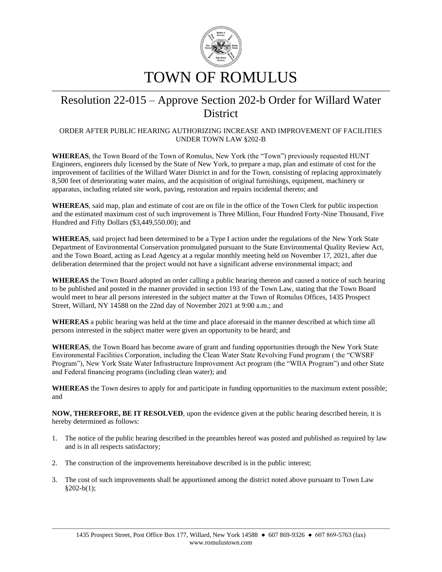

## Resolution 22-015 – Approve Section 202-b Order for Willard Water **District**

## ORDER AFTER PUBLIC HEARING AUTHORIZING INCREASE AND IMPROVEMENT OF FACILITIES UNDER TOWN LAW §202-B

**WHEREAS**, the Town Board of the Town of Romulus, New York (the "Town") previously requested HUNT Engineers, engineers duly licensed by the State of New York, to prepare a map, plan and estimate of cost for the improvement of facilities of the Willard Water District in and for the Town, consisting of replacing approximately 8,500 feet of deteriorating water mains, and the acquisition of original furnishings, equipment, machinery or apparatus, including related site work, paving, restoration and repairs incidental thereto; and

**WHEREAS**, said map, plan and estimate of cost are on file in the office of the Town Clerk for public inspection and the estimated maximum cost of such improvement is Three Million, Four Hundred Forty-Nine Thousand, Five Hundred and Fifty Dollars (\$3,449,550.00); and

**WHEREAS**, said project had been determined to be a Type I action under the regulations of the New York State Department of Environmental Conservation promulgated pursuant to the State Environmental Quality Review Act, and the Town Board, acting as Lead Agency at a regular monthly meeting held on November 17, 2021, after due deliberation determined that the project would not have a significant adverse environmental impact; and

**WHEREAS** the Town Board adopted an order calling a public hearing thereon and caused a notice of such hearing to be published and posted in the manner provided in section 193 of the Town Law, stating that the Town Board would meet to hear all persons interested in the subject matter at the Town of Romulus Offices, 1435 Prospect Street, Willard, NY 14588 on the 22nd day of November 2021 at 9:00 a.m.; and

**WHEREAS** a public hearing was held at the time and place aforesaid in the manner described at which time all persons interested in the subject matter were given an opportunity to be heard; and

**WHEREAS**, the Town Board has become aware of grant and funding opportunities through the New York State Environmental Facilities Corporation, including the Clean Water State Revolving Fund program ( the "CWSRF Program"), New York State Water Infrastructure Improvement Act program (the "WIIA Program") and other State and Federal financing programs (including clean water); and

**WHEREAS** the Town desires to apply for and participate in funding opportunities to the maximum extent possible; and

**NOW, THEREFORE, BE IT RESOLVED**, upon the evidence given at the public hearing described herein, it is hereby determined as follows:

- 1. The notice of the public hearing described in the preambles hereof was posted and published as required by law and is in all respects satisfactory;
- 2. The construction of the improvements hereinabove described is in the public interest;
- 3. The cost of such improvements shall be apportioned among the district noted above pursuant to Town Law  $§202-b(1);$